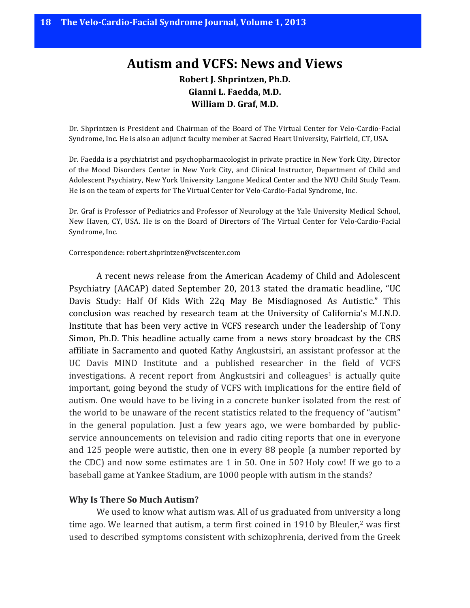# **Autism and VCFS: News and Views Robert J. Shprintzen, Ph.D.** Gianni L. Faedda, M.D. **William D. Graf, M.D.**

Dr. Shprintzen is President and Chairman of the Board of The Virtual Center for Velo-Cardio-Facial Syndrome, Inc. He is also an adjunct faculty member at Sacred Heart University, Fairfield, CT, USA.

Dr. Faedda is a psychiatrist and psychopharmacologist in private practice in New York City, Director of the Mood Disorders Center in New York City, and Clinical Instructor, Department of Child and Adolescent Psychiatry, New York University Langone Medical Center and the NYU Child Study Team. He is on the team of experts for The Virtual Center for Velo-Cardio-Facial Syndrome, Inc.

Dr. Graf is Professor of Pediatrics and Professor of Neurology at the Yale University Medical School, New Haven, CY, USA. He is on the Board of Directors of The Virtual Center for Velo-Cardio-Facial Syndrome, Inc.

#### Correspondence: robert.shprintzen@vcfscenter.com

A recent news release from the American Academy of Child and Adolescent Psychiatry (AACAP) dated September 20, 2013 stated the dramatic headline, "UC Davis Study: Half Of Kids With 22q May Be Misdiagnosed As Autistic." This conclusion was reached by research team at the University of California's M.I.N.D. Institute that has been very active in VCFS research under the leadership of Tony Simon, Ph.D. This headline actually came from a news story broadcast by the CBS affiliate in Sacramento and quoted Kathy Angkustsiri, an assistant professor at the UC Davis MIND Institute and a published researcher in the field of VCFS investigations. A recent report from Angkustsiri and colleagues<sup>1</sup> is actually quite important, going beyond the study of VCFS with implications for the entire field of autism. One would have to be living in a concrete bunker isolated from the rest of the world to be unaware of the recent statistics related to the frequency of "autism" in the general population. Just a few years ago, we were bombarded by publicservice announcements on television and radio citing reports that one in everyone and  $125$  people were autistic, then one in every 88 people (a number reported by the CDC) and now some estimates are 1 in 50. One in 50? Holy cow! If we go to a baseball game at Yankee Stadium, are 1000 people with autism in the stands?

#### **Why Is There So Much Autism?**

We used to know what autism was. All of us graduated from university a long time ago. We learned that autism, a term first coined in 1910 by Bleuler, $2$  was first used to described symptoms consistent with schizophrenia, derived from the Greek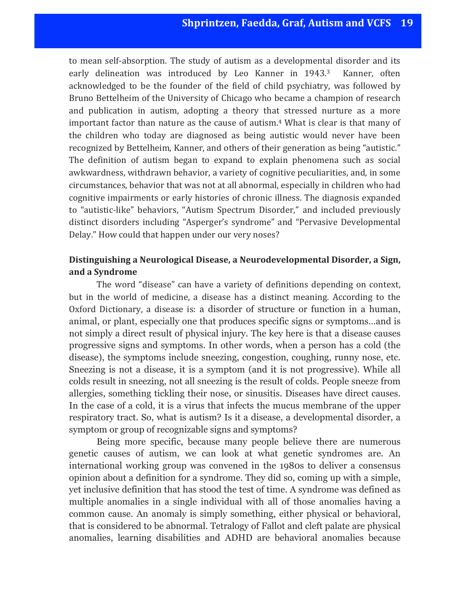to mean self-absorption. The study of autism as a developmental disorder and its early delineation was introduced by Leo Kanner in 1943.<sup>3</sup> Kanner, often acknowledged to be the founder of the field of child psychiatry, was followed by Bruno Bettelheim of the University of Chicago who became a champion of research and publication in autism, adopting a theory that stressed nurture as a more important factor than nature as the cause of autism.<sup>4</sup> What is clear is that many of the children who today are diagnosed as being autistic would never have been recognized by Bettelheim, Kanner, and others of their generation as being "autistic." The definition of autism began to expand to explain phenomena such as social awkwardness, withdrawn behavior, a variety of cognitive peculiarities, and, in some circumstances, behavior that was not at all abnormal, especially in children who had cognitive impairments or early histories of chronic illness. The diagnosis expanded to "autistic-like" behaviors, "Autism Spectrum Disorder," and included previously distinct disorders including "Asperger's syndrome" and "Pervasive Developmental Delay." How could that happen under our very noses?

# **Distinguishing a Neurological Disease, a Neurodevelopmental Disorder, a Sign,** and a Syndrome

The word "disease" can have a variety of definitions depending on context, but in the world of medicine, a disease has a distinct meaning. According to the Oxford Dictionary, a disease is: a disorder of structure or function in a human, animal, or plant, especially one that produces specific signs or symptoms…and is not simply a direct result of physical injury. The key here is that a disease causes progressive signs and symptoms. In other words, when a person has a cold (the disease), the symptoms include sneezing, congestion, coughing, runny nose, etc. Sneezing is not a disease, it is a symptom (and it is not progressive). While all colds result in sneezing, not all sneezing is the result of colds. People sneeze from allergies, something tickling their nose, or sinusitis. Diseases have direct causes. In the case of a cold, it is a virus that infects the mucus membrane of the upper respiratory tract. So, what is autism? Is it a disease, a developmental disorder, a symptom or group of recognizable signs and symptoms?

Being more specific, because many people believe there are numerous genetic causes of autism, we can look at what genetic syndromes are. An international working group was convened in the 1980s to deliver a consensus opinion about a definition for a syndrome. They did so, coming up with a simple, yet inclusive definition that has stood the test of time. A syndrome was defined as multiple anomalies in a single individual with all of those anomalies having a common cause. An anomaly is simply something, either physical or behavioral, that is considered to be abnormal. Tetralogy of Fallot and cleft palate are physical anomalies, learning disabilities and ADHD are behavioral anomalies because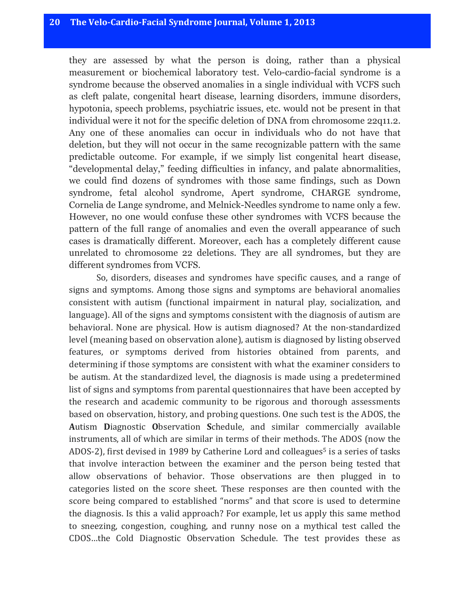# **20** The Velo-Cardio-Facial Syndrome Iournal, Volume 1, 2013

they are assessed by what the person is doing, rather than a physical measurement or biochemical laboratory test. Velo-cardio-facial syndrome is a syndrome because the observed anomalies in a single individual with VCFS such as cleft palate, congenital heart disease, learning disorders, immune disorders, hypotonia, speech problems, psychiatric issues, etc. would not be present in that individual were it not for the specific deletion of DNA from chromosome 22q11.2. Any one of these anomalies can occur in individuals who do not have that deletion, but they will not occur in the same recognizable pattern with the same predictable outcome. For example, if we simply list congenital heart disease, "developmental delay," feeding difficulties in infancy, and palate abnormalities, we could find dozens of syndromes with those same findings, such as Down syndrome, fetal alcohol syndrome, Apert syndrome, CHARGE syndrome, Cornelia de Lange syndrome, and Melnick-Needles syndrome to name only a few. However, no one would confuse these other syndromes with VCFS because the pattern of the full range of anomalies and even the overall appearance of such cases is dramatically different. Moreover, each has a completely different cause unrelated to chromosome 22 deletions. They are all syndromes, but they are different syndromes from VCFS.

So, disorders, diseases and syndromes have specific causes, and a range of signs and symptoms. Among those signs and symptoms are behavioral anomalies consistent with autism (functional impairment in natural play, socialization, and language). All of the signs and symptoms consistent with the diagnosis of autism are behavioral. None are physical. How is autism diagnosed? At the non-standardized level (meaning based on observation alone), autism is diagnosed by listing observed features, or symptoms derived from histories obtained from parents, and determining if those symptoms are consistent with what the examiner considers to be autism. At the standardized level, the diagnosis is made using a predetermined list of signs and symptoms from parental questionnaires that have been accepted by the research and academic community to be rigorous and thorough assessments based on observation, history, and probing questions. One such test is the ADOS, the **A**utism **D**iagnostic **O**bservation **S**chedule, and similar commercially available instruments, all of which are similar in terms of their methods. The ADOS (now the ADOS-2), first devised in 1989 by Catherine Lord and colleagues<sup>5</sup> is a series of tasks that involve interaction between the examiner and the person being tested that allow observations of behavior. Those observations are then plugged in to categories listed on the score sheet. These responses are then counted with the score being compared to established "norms" and that score is used to determine the diagnosis. Is this a valid approach? For example, let us apply this same method to sneezing, congestion, coughing, and runny nose on a mythical test called the CDOS...the Cold Diagnostic Observation Schedule. The test provides these as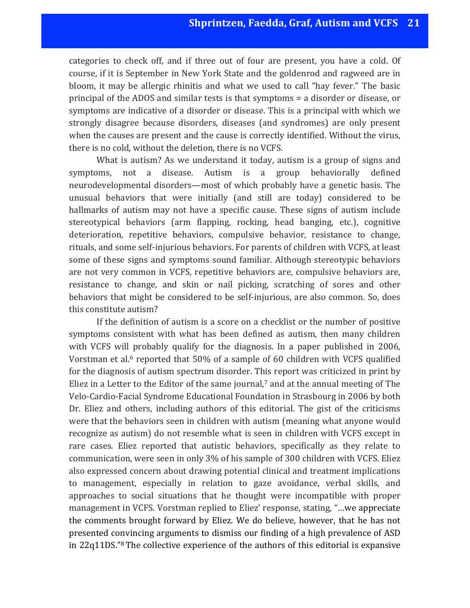categories to check off, and if three out of four are present, you have a cold. Of course, if it is September in New York State and the goldenrod and ragweed are in bloom, it may be allergic rhinitis and what we used to call "hay fever." The basic principal of the ADOS and similar tests is that symptoms  $=$  a disorder or disease, or symptoms are indicative of a disorder or disease. This is a principal with which we strongly disagree because disorders, diseases (and syndromes) are only present when the causes are present and the cause is correctly identified. Without the virus, there is no cold, without the deletion, there is no VCFS.

What is autism? As we understand it today, autism is a group of signs and symptoms, not a disease. Autism is a group behaviorally defined neurodevelopmental disorders—most of which probably have a genetic basis. The unusual behaviors that were initially (and still are today) considered to be hallmarks of autism may not have a specific cause. These signs of autism include stereotypical behaviors (arm flapping, rocking, head banging, etc.), cognitive deterioration, repetitive behaviors, compulsive behavior, resistance to change, rituals, and some self-injurious behaviors. For parents of children with VCFS, at least some of these signs and symptoms sound familiar. Although stereotypic behaviors are not very common in VCFS, repetitive behaviors are, compulsive behaviors are, resistance to change, and skin or nail picking, scratching of sores and other behaviors that might be considered to be self-injurious, are also common. So, does this constitute autism?

If the definition of autism is a score on a checklist or the number of positive symptoms consistent with what has been defined as autism, then many children with VCFS will probably qualify for the diagnosis. In a paper published in 2006, Vorstman et al. $6$  reported that  $50\%$  of a sample of 60 children with VCFS qualified for the diagnosis of autism spectrum disorder. This report was criticized in print by Eliez in a Letter to the Editor of the same journal, $7$  and at the annual meeting of The Velo-Cardio-Facial Syndrome Educational Foundation in Strasbourg in 2006 by both Dr. Eliez and others, including authors of this editorial. The gist of the criticisms were that the behaviors seen in children with autism (meaning what anyone would recognize as autism) do not resemble what is seen in children with VCFS except in rare cases. Eliez reported that autistic behaviors, specifically as they relate to communication, were seen in only 3% of his sample of 300 children with VCFS. Eliez also expressed concern about drawing potential clinical and treatment implications to management, especially in relation to gaze avoidance, verbal skills, and approaches to social situations that he thought were incompatible with proper management in VCFS. Vorstman replied to Eliez' response, stating, "...we appreciate the comments brought forward by Eliez. We do believe, however, that he has not presented convincing arguments to dismiss our finding of a high prevalence of ASD in  $22q11DS."$ <sup>8</sup> The collective experience of the authors of this editorial is expansive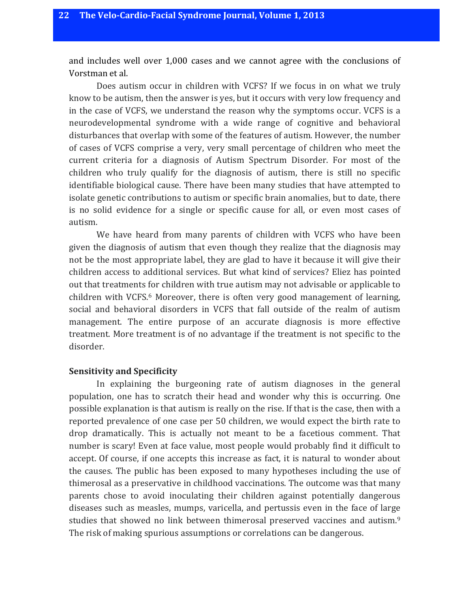and includes well over 1,000 cases and we cannot agree with the conclusions of Vorstman et al.

Does autism occur in children with VCFS? If we focus in on what we truly know to be autism, then the answer is yes, but it occurs with very low frequency and in the case of VCFS, we understand the reason why the symptoms occur. VCFS is a neurodevelopmental syndrome with a wide range of cognitive and behavioral disturbances that overlap with some of the features of autism. However, the number of cases of VCFS comprise a very, very small percentage of children who meet the current criteria for a diagnosis of Autism Spectrum Disorder. For most of the children who truly qualify for the diagnosis of autism, there is still no specific identifiable biological cause. There have been many studies that have attempted to isolate genetic contributions to autism or specific brain anomalies, but to date, there is no solid evidence for a single or specific cause for all, or even most cases of autism. 

We have heard from many parents of children with VCFS who have been given the diagnosis of autism that even though they realize that the diagnosis may not be the most appropriate label, they are glad to have it because it will give their children access to additional services. But what kind of services? Eliez has pointed out that treatments for children with true autism may not advisable or applicable to children with VCFS. $6$  Moreover, there is often very good management of learning, social and behavioral disorders in VCFS that fall outside of the realm of autism management. The entire purpose of an accurate diagnosis is more effective treatment. More treatment is of no advantage if the treatment is not specific to the disorder.

#### **Sensitivity and Specificity**

In explaining the burgeoning rate of autism diagnoses in the general population, one has to scratch their head and wonder why this is occurring. One possible explanation is that autism is really on the rise. If that is the case, then with a reported prevalence of one case per 50 children, we would expect the birth rate to drop dramatically. This is actually not meant to be a facetious comment. That number is scary! Even at face value, most people would probably find it difficult to accept. Of course, if one accepts this increase as fact, it is natural to wonder about the causes. The public has been exposed to many hypotheses including the use of thimerosal as a preservative in childhood vaccinations. The outcome was that many parents chose to avoid inoculating their children against potentially dangerous diseases such as measles, mumps, varicella, and pertussis even in the face of large studies that showed no link between thimerosal preserved vaccines and autism.<sup>9</sup> The risk of making spurious assumptions or correlations can be dangerous.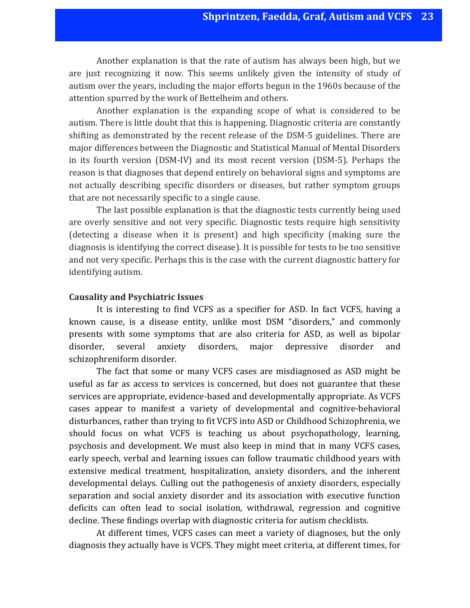Another explanation is that the rate of autism has always been high, but we are just recognizing it now. This seems unlikely given the intensity of study of autism over the years, including the major efforts begun in the 1960s because of the attention spurred by the work of Bettelheim and others.

Another explanation is the expanding scope of what is considered to be autism. There is little doubt that this is happening. Diagnostic criteria are constantly shifting as demonstrated by the recent release of the DSM-5 guidelines. There are major differences between the Diagnostic and Statistical Manual of Mental Disorders in its fourth version (DSM-IV) and its most recent version (DSM-5). Perhaps the reason is that diagnoses that depend entirely on behavioral signs and symptoms are not actually describing specific disorders or diseases, but rather symptom groups that are not necessarily specific to a single cause.

The last possible explanation is that the diagnostic tests currently being used are overly sensitive and not very specific. Diagnostic tests require high sensitivity (detecting a disease when it is present) and high specificity (making sure the diagnosis is identifying the correct disease). It is possible for tests to be too sensitive and not very specific. Perhaps this is the case with the current diagnostic battery for identifying autism.

### **Causality and Psychiatric Issues**

It is interesting to find VCFS as a specifier for ASD. In fact VCFS, having a known cause, is a disease entity, unlike most DSM "disorders," and commonly presents with some symptoms that are also criteria for ASD, as well as bipolar disorder, several anxiety disorders, major depressive disorder and schizophreniform disorder.

The fact that some or many VCFS cases are misdiagnosed as ASD might be useful as far as access to services is concerned, but does not guarantee that these services are appropriate, evidence-based and developmentally appropriate. As VCFS cases appear to manifest a variety of developmental and cognitive-behavioral disturbances, rather than trying to fit VCFS into ASD or Childhood Schizophrenia, we should focus on what VCFS is teaching us about psychopathology, learning, psychosis and development. We must also keep in mind that in many VCFS cases, early speech, verbal and learning issues can follow traumatic childhood vears with extensive medical treatment, hospitalization, anxiety disorders, and the inherent developmental delays. Culling out the pathogenesis of anxiety disorders, especially separation and social anxiety disorder and its association with executive function deficits can often lead to social isolation, withdrawal, regression and cognitive decline. These findings overlap with diagnostic criteria for autism checklists.

At different times, VCFS cases can meet a variety of diagnoses, but the only diagnosis they actually have is VCFS. They might meet criteria, at different times, for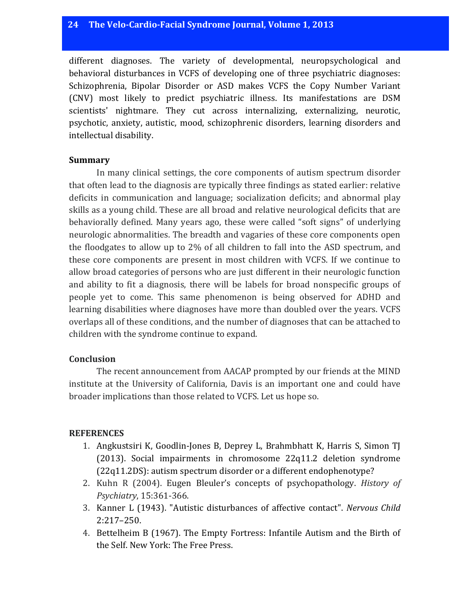different diagnoses. The variety of developmental, neuropsychological and behavioral disturbances in VCFS of developing one of three psychiatric diagnoses: Schizophrenia, Bipolar Disorder or ASD makes VCFS the Copy Number Variant (CNV) most likely to predict psychiatric illness. Its manifestations are DSM scientists' nightmare. They cut across internalizing, externalizing, neurotic, psychotic, anxiety, autistic, mood, schizophrenic disorders, learning disorders and intellectual disability.

## **Summary**

In many clinical settings, the core components of autism spectrum disorder that often lead to the diagnosis are typically three findings as stated earlier: relative deficits in communication and language; socialization deficits; and abnormal play skills as a young child. These are all broad and relative neurological deficits that are behaviorally defined. Many years ago, these were called "soft signs" of underlying neurologic abnormalities. The breadth and vagaries of these core components open the floodgates to allow up to  $2\%$  of all children to fall into the ASD spectrum, and these core components are present in most children with VCFS. If we continue to allow broad categories of persons who are just different in their neurologic function and ability to fit a diagnosis, there will be labels for broad nonspecific groups of people yet to come. This same phenomenon is being observed for ADHD and learning disabilities where diagnoses have more than doubled over the years. VCFS overlaps all of these conditions, and the number of diagnoses that can be attached to children with the syndrome continue to expand.

# **Conclusion**

The recent announcement from AACAP prompted by our friends at the MIND institute at the University of California, Davis is an important one and could have broader implications than those related to VCFS. Let us hope so.

# **REFERENCES**

- 1. Angkustsiri K, Goodlin-Jones B, Deprey L, Brahmbhatt K, Harris S, Simon TJ (2013). Social impairments in chromosome  $22q11.2$  deletion syndrome  $(22q11.2DS)$ : autism spectrum disorder or a different endophenotype?
- 2. Kuhn R (2004). Eugen Bleuler's concepts of psychopathology. *History of Psychiatry*, 15:361-366.
- 3. Kanner L (1943). "Autistic disturbances of affective contact". *Nervous Child* 2:217–250.
- 4. Bettelheim B (1967). The Empty Fortress: Infantile Autism and the Birth of the Self. New York: The Free Press.